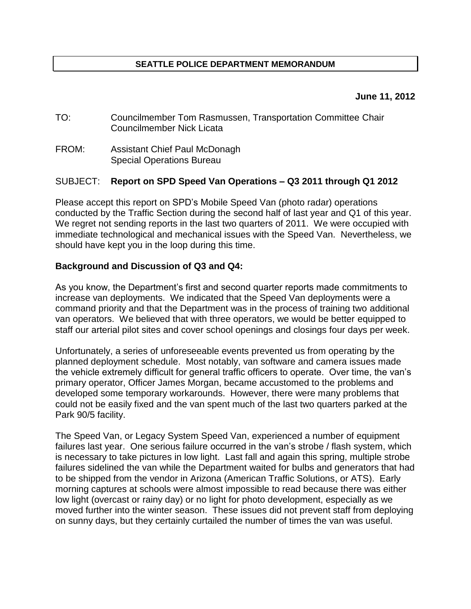# **SEATTLE POLICE DEPARTMENT MEMORANDUM**

#### **June 11, 2012**

- TO: Councilmember Tom Rasmussen, Transportation Committee Chair Councilmember Nick Licata
- FROM: Assistant Chief Paul McDonagh Special Operations Bureau

### SUBJECT: **Report on SPD Speed Van Operations – Q3 2011 through Q1 2012**

Please accept this report on SPD's Mobile Speed Van (photo radar) operations conducted by the Traffic Section during the second half of last year and Q1 of this year. We regret not sending reports in the last two quarters of 2011. We were occupied with immediate technological and mechanical issues with the Speed Van. Nevertheless, we should have kept you in the loop during this time.

### **Background and Discussion of Q3 and Q4:**

As you know, the Department's first and second quarter reports made commitments to increase van deployments. We indicated that the Speed Van deployments were a command priority and that the Department was in the process of training two additional van operators. We believed that with three operators, we would be better equipped to staff our arterial pilot sites and cover school openings and closings four days per week.

Unfortunately, a series of unforeseeable events prevented us from operating by the planned deployment schedule. Most notably, van software and camera issues made the vehicle extremely difficult for general traffic officers to operate. Over time, the van's primary operator, Officer James Morgan, became accustomed to the problems and developed some temporary workarounds. However, there were many problems that could not be easily fixed and the van spent much of the last two quarters parked at the Park 90/5 facility.

The Speed Van, or Legacy System Speed Van, experienced a number of equipment failures last year. One serious failure occurred in the van's strobe / flash system, which is necessary to take pictures in low light. Last fall and again this spring, multiple strobe failures sidelined the van while the Department waited for bulbs and generators that had to be shipped from the vendor in Arizona (American Traffic Solutions, or ATS). Early morning captures at schools were almost impossible to read because there was either low light (overcast or rainy day) or no light for photo development, especially as we moved further into the winter season. These issues did not prevent staff from deploying on sunny days, but they certainly curtailed the number of times the van was useful.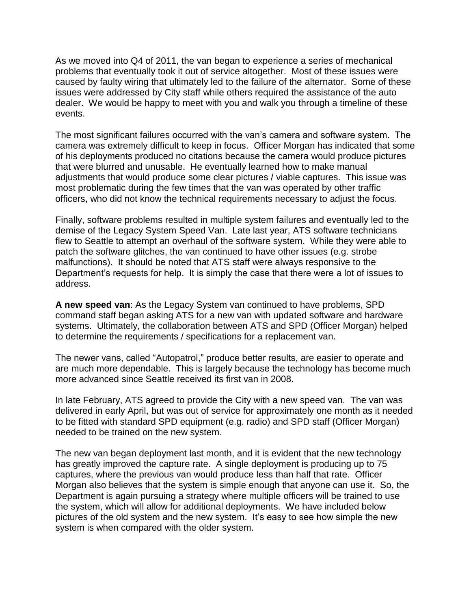As we moved into Q4 of 2011, the van began to experience a series of mechanical problems that eventually took it out of service altogether. Most of these issues were caused by faulty wiring that ultimately led to the failure of the alternator. Some of these issues were addressed by City staff while others required the assistance of the auto dealer. We would be happy to meet with you and walk you through a timeline of these events.

The most significant failures occurred with the van's camera and software system. The camera was extremely difficult to keep in focus. Officer Morgan has indicated that some of his deployments produced no citations because the camera would produce pictures that were blurred and unusable. He eventually learned how to make manual adjustments that would produce some clear pictures / viable captures. This issue was most problematic during the few times that the van was operated by other traffic officers, who did not know the technical requirements necessary to adjust the focus.

Finally, software problems resulted in multiple system failures and eventually led to the demise of the Legacy System Speed Van. Late last year, ATS software technicians flew to Seattle to attempt an overhaul of the software system. While they were able to patch the software glitches, the van continued to have other issues (e.g. strobe malfunctions). It should be noted that ATS staff were always responsive to the Department's requests for help. It is simply the case that there were a lot of issues to address.

**A new speed van**: As the Legacy System van continued to have problems, SPD command staff began asking ATS for a new van with updated software and hardware systems. Ultimately, the collaboration between ATS and SPD (Officer Morgan) helped to determine the requirements / specifications for a replacement van.

The newer vans, called "Autopatrol," produce better results, are easier to operate and are much more dependable. This is largely because the technology has become much more advanced since Seattle received its first van in 2008.

In late February, ATS agreed to provide the City with a new speed van. The van was delivered in early April, but was out of service for approximately one month as it needed to be fitted with standard SPD equipment (e.g. radio) and SPD staff (Officer Morgan) needed to be trained on the new system.

The new van began deployment last month, and it is evident that the new technology has greatly improved the capture rate. A single deployment is producing up to 75 captures, where the previous van would produce less than half that rate. Officer Morgan also believes that the system is simple enough that anyone can use it. So, the Department is again pursuing a strategy where multiple officers will be trained to use the system, which will allow for additional deployments. We have included below pictures of the old system and the new system. It's easy to see how simple the new system is when compared with the older system.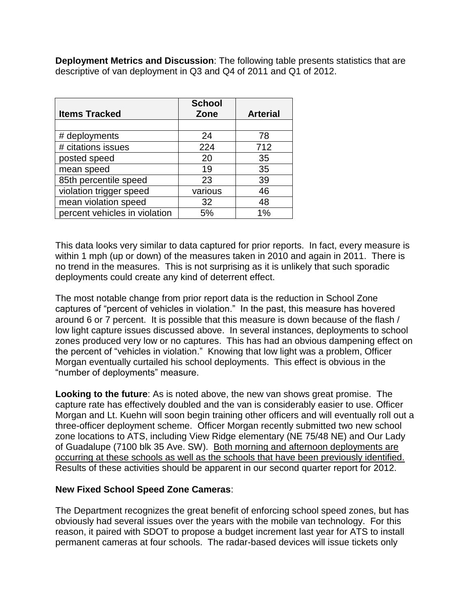**Deployment Metrics and Discussion**: The following table presents statistics that are descriptive of van deployment in Q3 and Q4 of 2011 and Q1 of 2012.

|                               | <b>School</b> |                 |
|-------------------------------|---------------|-----------------|
| <b>Items Tracked</b>          | Zone          | <b>Arterial</b> |
|                               |               |                 |
| # deployments                 | 24            | 78              |
| # citations issues            | 224           | 712             |
| posted speed                  | 20            | 35              |
| mean speed                    | 19            | 35              |
| 85th percentile speed         | 23            | 39              |
| violation trigger speed       | various       | 46              |
| mean violation speed          | 32            | 48              |
| percent vehicles in violation | 5%            | 1%              |

This data looks very similar to data captured for prior reports. In fact, every measure is within 1 mph (up or down) of the measures taken in 2010 and again in 2011. There is no trend in the measures. This is not surprising as it is unlikely that such sporadic deployments could create any kind of deterrent effect.

The most notable change from prior report data is the reduction in School Zone captures of "percent of vehicles in violation." In the past, this measure has hovered around 6 or 7 percent. It is possible that this measure is down because of the flash / low light capture issues discussed above. In several instances, deployments to school zones produced very low or no captures. This has had an obvious dampening effect on the percent of "vehicles in violation." Knowing that low light was a problem, Officer Morgan eventually curtailed his school deployments. This effect is obvious in the "number of deployments" measure.

**Looking to the future**: As is noted above, the new van shows great promise. The capture rate has effectively doubled and the van is considerably easier to use. Officer Morgan and Lt. Kuehn will soon begin training other officers and will eventually roll out a three-officer deployment scheme. Officer Morgan recently submitted two new school zone locations to ATS, including View Ridge elementary (NE 75/48 NE) and Our Lady of Guadalupe (7100 blk 35 Ave. SW). Both morning and afternoon deployments are occurring at these schools as well as the schools that have been previously identified. Results of these activities should be apparent in our second quarter report for 2012.

# **New Fixed School Speed Zone Cameras**:

The Department recognizes the great benefit of enforcing school speed zones, but has obviously had several issues over the years with the mobile van technology. For this reason, it paired with SDOT to propose a budget increment last year for ATS to install permanent cameras at four schools. The radar-based devices will issue tickets only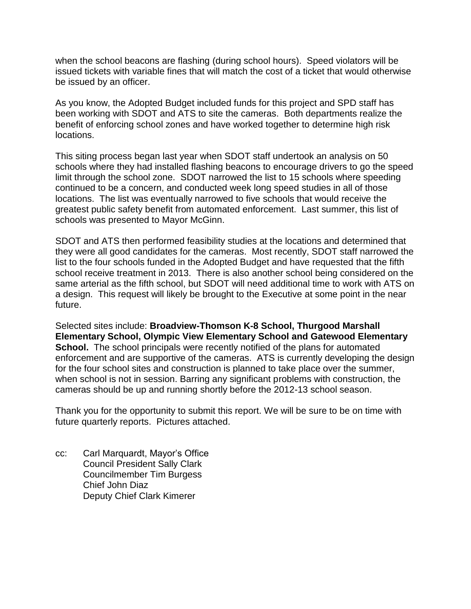when the school beacons are flashing (during school hours). Speed violators will be issued tickets with variable fines that will match the cost of a ticket that would otherwise be issued by an officer.

As you know, the Adopted Budget included funds for this project and SPD staff has been working with SDOT and ATS to site the cameras. Both departments realize the benefit of enforcing school zones and have worked together to determine high risk locations.

This siting process began last year when SDOT staff undertook an analysis on 50 schools where they had installed flashing beacons to encourage drivers to go the speed limit through the school zone. SDOT narrowed the list to 15 schools where speeding continued to be a concern, and conducted week long speed studies in all of those locations. The list was eventually narrowed to five schools that would receive the greatest public safety benefit from automated enforcement. Last summer, this list of schools was presented to Mayor McGinn.

SDOT and ATS then performed feasibility studies at the locations and determined that they were all good candidates for the cameras. Most recently, SDOT staff narrowed the list to the four schools funded in the Adopted Budget and have requested that the fifth school receive treatment in 2013. There is also another school being considered on the same arterial as the fifth school, but SDOT will need additional time to work with ATS on a design. This request will likely be brought to the Executive at some point in the near future.

Selected sites include: **Broadview-Thomson K-8 School, Thurgood Marshall Elementary School, Olympic View Elementary School and Gatewood Elementary School.** The school principals were recently notified of the plans for automated enforcement and are supportive of the cameras. ATS is currently developing the design for the four school sites and construction is planned to take place over the summer, when school is not in session. Barring any significant problems with construction, the cameras should be up and running shortly before the 2012-13 school season.

Thank you for the opportunity to submit this report. We will be sure to be on time with future quarterly reports. Pictures attached.

cc: Carl Marquardt, Mayor's Office Council President Sally Clark Councilmember Tim Burgess Chief John Diaz Deputy Chief Clark Kimerer